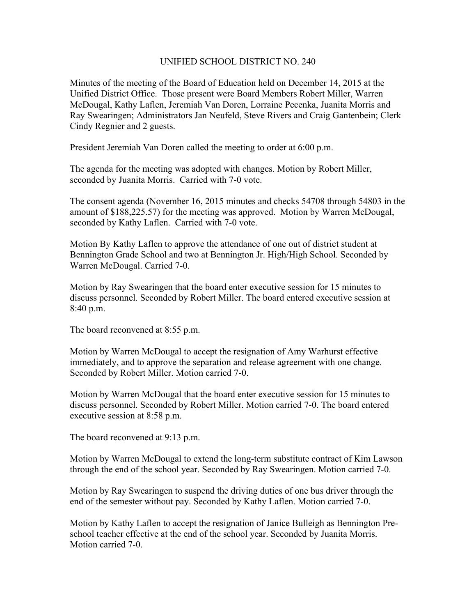## UNIFIED SCHOOL DISTRICT NO. 240

Minutes of the meeting of the Board of Education held on December 14, 2015 at the Unified District Office. Those present were Board Members Robert Miller, Warren McDougal, Kathy Laflen, Jeremiah Van Doren, Lorraine Pecenka, Juanita Morris and Ray Swearingen; Administrators Jan Neufeld, Steve Rivers and Craig Gantenbein; Clerk Cindy Regnier and 2 guests.

President Jeremiah Van Doren called the meeting to order at 6:00 p.m.

The agenda for the meeting was adopted with changes. Motion by Robert Miller, seconded by Juanita Morris. Carried with 7-0 vote.

The consent agenda (November 16, 2015 minutes and checks 54708 through 54803 in the amount of \$188,225.57) for the meeting was approved. Motion by Warren McDougal, seconded by Kathy Laflen. Carried with 7-0 vote.

Motion By Kathy Laflen to approve the attendance of one out of district student at Bennington Grade School and two at Bennington Jr. High/High School. Seconded by Warren McDougal. Carried 7-0.

Motion by Ray Swearingen that the board enter executive session for 15 minutes to discuss personnel. Seconded by Robert Miller. The board entered executive session at 8:40 p.m.

The board reconvened at 8:55 p.m.

Motion by Warren McDougal to accept the resignation of Amy Warhurst effective immediately, and to approve the separation and release agreement with one change. Seconded by Robert Miller. Motion carried 7-0.

Motion by Warren McDougal that the board enter executive session for 15 minutes to discuss personnel. Seconded by Robert Miller. Motion carried 7-0. The board entered executive session at 8:58 p.m.

The board reconvened at 9:13 p.m.

Motion by Warren McDougal to extend the long-term substitute contract of Kim Lawson through the end of the school year. Seconded by Ray Swearingen. Motion carried 7-0.

Motion by Ray Swearingen to suspend the driving duties of one bus driver through the end of the semester without pay. Seconded by Kathy Laflen. Motion carried 7-0.

Motion by Kathy Laflen to accept the resignation of Janice Bulleigh as Bennington Preschool teacher effective at the end of the school year. Seconded by Juanita Morris. Motion carried 7-0.